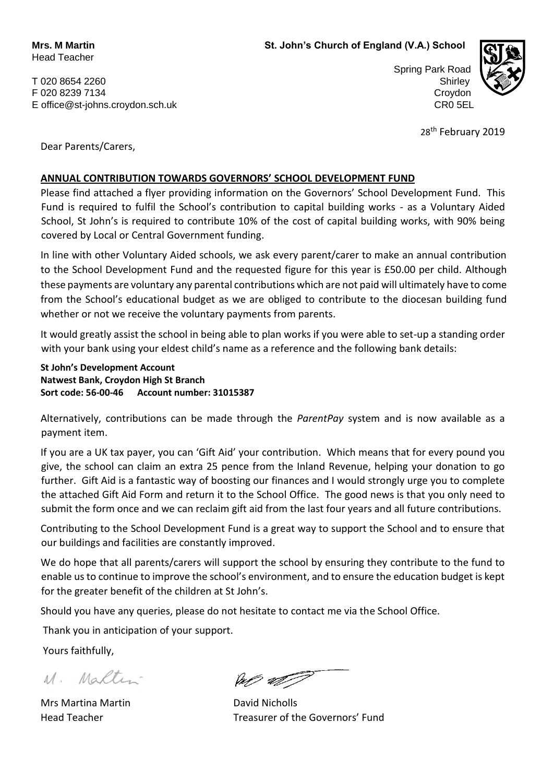T 020 8654 2260 Shirley 3.2 Shirley 3.2 Shirley 3.2 Shirley 3.2 Shirley 3.2 Shirley 3.2 Shirley 3.2 Shirley 3. F 020 8239 7134 Croydon E office@st-johns.croydon.sch.uk CR0 5EL

Spring Park Road



28<sup>th</sup> February 2019

Dear Parents/Carers,

## **ANNUAL CONTRIBUTION TOWARDS GOVERNORS' SCHOOL DEVELOPMENT FUND**

Please find attached a flyer providing information on the Governors' School Development Fund. This Fund is required to fulfil the School's contribution to capital building works - as a Voluntary Aided School, St John's is required to contribute 10% of the cost of capital building works, with 90% being covered by Local or Central Government funding.

In line with other Voluntary Aided schools, we ask every parent/carer to make an annual contribution to the School Development Fund and the requested figure for this year is £50.00 per child. Although these payments are voluntary any parental contributions which are not paid will ultimately have to come from the School's educational budget as we are obliged to contribute to the diocesan building fund whether or not we receive the voluntary payments from parents.

It would greatly assist the school in being able to plan works if you were able to set-up a standing order with your bank using your eldest child's name as a reference and the following bank details:

**St John's Development Account Natwest Bank, Croydon High St Branch Sort code: 56-00-46 Account number: 31015387**

Alternatively, contributions can be made through the *ParentPay* system and is now available as a payment item.

If you are a UK tax payer, you can 'Gift Aid' your contribution. Which means that for every pound you give, the school can claim an extra 25 pence from the Inland Revenue, helping your donation to go further. Gift Aid is a fantastic way of boosting our finances and I would strongly urge you to complete the attached Gift Aid Form and return it to the School Office. The good news is that you only need to submit the form once and we can reclaim gift aid from the last four years and all future contributions.

Contributing to the School Development Fund is a great way to support the School and to ensure that our buildings and facilities are constantly improved.

We do hope that all parents/carers will support the school by ensuring they contribute to the fund to enable us to continue to improve the school's environment, and to ensure the education budget is kept for the greater benefit of the children at St John's.

Should you have any queries, please do not hesitate to contact me via the School Office.

Thank you in anticipation of your support.

Yours faithfully,

M. Maltin

Mrs Martina Martin **Mrs Marting Marting Martin** David Nicholls

ap all

Head Teacher Treasurer of the Governors' Fund